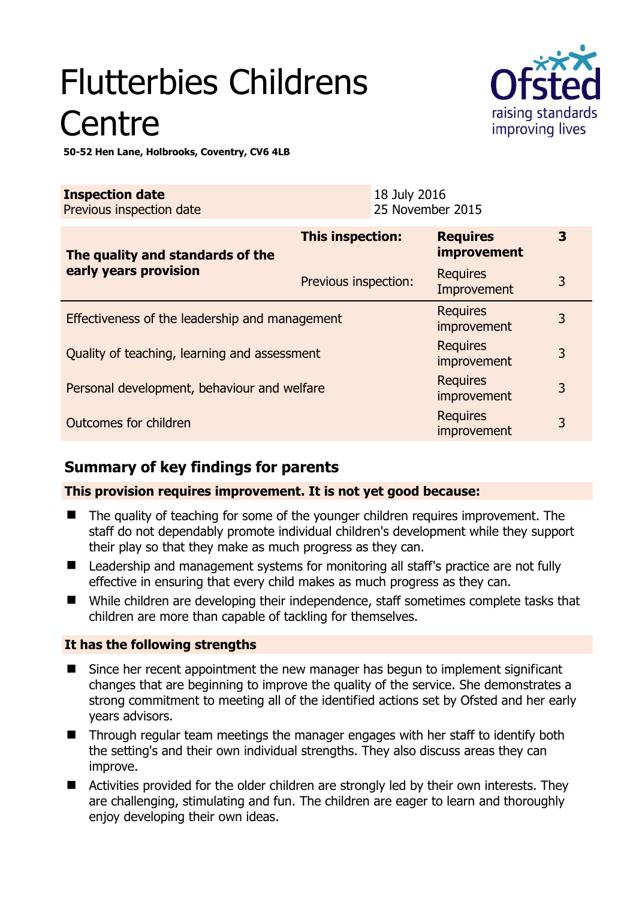# Flutterbies Childrens **Centre**



**50-52 Hen Lane, Holbrooks, Coventry, CV6 4LB** 

| <b>Inspection date</b><br>Previous inspection date        |                      | 18 July 2016<br>25 November 2015 |                                       |   |
|-----------------------------------------------------------|----------------------|----------------------------------|---------------------------------------|---|
| The quality and standards of the<br>early years provision | This inspection:     |                                  | <b>Requires</b><br><i>improvement</i> | 3 |
|                                                           | Previous inspection: |                                  | <b>Requires</b><br>Improvement        | 3 |
| Effectiveness of the leadership and management            |                      |                                  | <b>Requires</b><br>improvement        | 3 |
| Quality of teaching, learning and assessment              |                      |                                  | <b>Requires</b><br>improvement        | 3 |
| Personal development, behaviour and welfare               |                      |                                  | <b>Requires</b><br>improvement        | 3 |
| Outcomes for children                                     |                      |                                  | <b>Requires</b><br>improvement        | 3 |

# **Summary of key findings for parents**

## **This provision requires improvement. It is not yet good because:**

- The quality of teaching for some of the younger children requires improvement. The staff do not dependably promote individual children's development while they support their play so that they make as much progress as they can.
- Leadership and management systems for monitoring all staff's practice are not fully effective in ensuring that every child makes as much progress as they can.
- While children are developing their independence, staff sometimes complete tasks that children are more than capable of tackling for themselves.

## **It has the following strengths**

- Since her recent appointment the new manager has begun to implement significant changes that are beginning to improve the quality of the service. She demonstrates a strong commitment to meeting all of the identified actions set by Ofsted and her early years advisors.
- Through regular team meetings the manager engages with her staff to identify both the setting's and their own individual strengths. They also discuss areas they can improve.
- **E** Activities provided for the older children are strongly led by their own interests. They are challenging, stimulating and fun. The children are eager to learn and thoroughly enjoy developing their own ideas.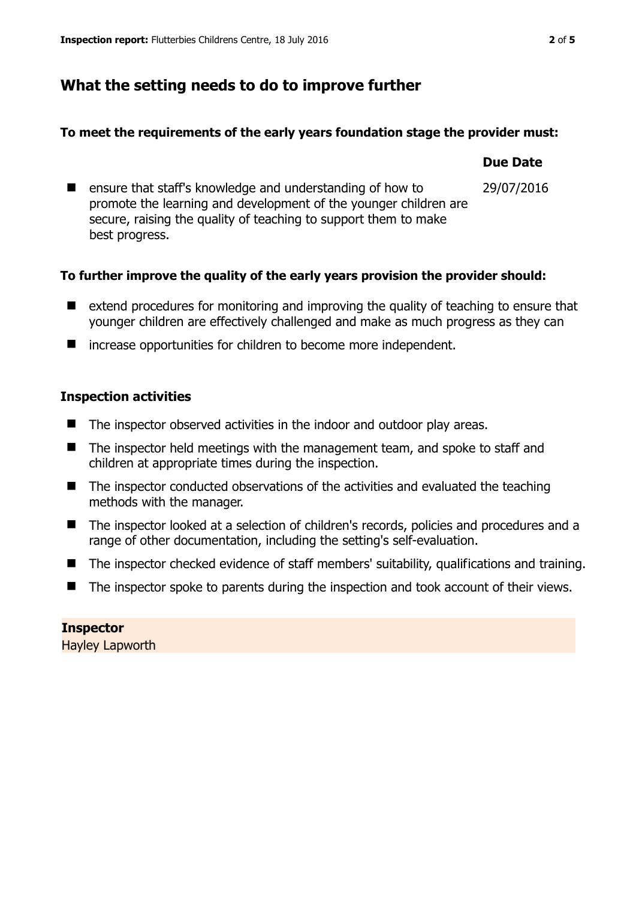## **What the setting needs to do to improve further**

#### **To meet the requirements of the early years foundation stage the provider must:**

#### **Due Date**

29/07/2016

■ ensure that staff's knowledge and understanding of how to promote the learning and development of the younger children are secure, raising the quality of teaching to support them to make best progress.

#### **To further improve the quality of the early years provision the provider should:**

- extend procedures for monitoring and improving the quality of teaching to ensure that younger children are effectively challenged and make as much progress as they can
- increase opportunities for children to become more independent.

#### **Inspection activities**

- The inspector observed activities in the indoor and outdoor play areas.
- The inspector held meetings with the management team, and spoke to staff and children at appropriate times during the inspection.
- The inspector conducted observations of the activities and evaluated the teaching methods with the manager.
- The inspector looked at a selection of children's records, policies and procedures and a range of other documentation, including the setting's self-evaluation.
- The inspector checked evidence of staff members' suitability, qualifications and training.
- The inspector spoke to parents during the inspection and took account of their views.

**Inspector**  Hayley Lapworth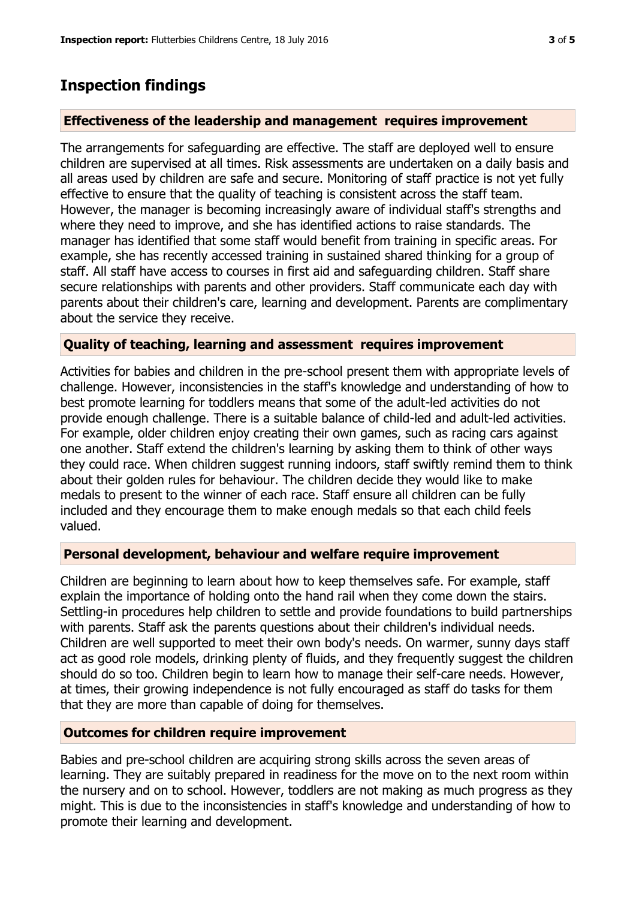## **Inspection findings**

#### **Effectiveness of the leadership and management requires improvement**

The arrangements for safeguarding are effective. The staff are deployed well to ensure children are supervised at all times. Risk assessments are undertaken on a daily basis and all areas used by children are safe and secure. Monitoring of staff practice is not yet fully effective to ensure that the quality of teaching is consistent across the staff team. However, the manager is becoming increasingly aware of individual staff's strengths and where they need to improve, and she has identified actions to raise standards. The manager has identified that some staff would benefit from training in specific areas. For example, she has recently accessed training in sustained shared thinking for a group of staff. All staff have access to courses in first aid and safeguarding children. Staff share secure relationships with parents and other providers. Staff communicate each day with parents about their children's care, learning and development. Parents are complimentary about the service they receive.

#### **Quality of teaching, learning and assessment requires improvement**

Activities for babies and children in the pre-school present them with appropriate levels of challenge. However, inconsistencies in the staff's knowledge and understanding of how to best promote learning for toddlers means that some of the adult-led activities do not provide enough challenge. There is a suitable balance of child-led and adult-led activities. For example, older children enjoy creating their own games, such as racing cars against one another. Staff extend the children's learning by asking them to think of other ways they could race. When children suggest running indoors, staff swiftly remind them to think about their golden rules for behaviour. The children decide they would like to make medals to present to the winner of each race. Staff ensure all children can be fully included and they encourage them to make enough medals so that each child feels valued.

#### **Personal development, behaviour and welfare require improvement**

Children are beginning to learn about how to keep themselves safe. For example, staff explain the importance of holding onto the hand rail when they come down the stairs. Settling-in procedures help children to settle and provide foundations to build partnerships with parents. Staff ask the parents questions about their children's individual needs. Children are well supported to meet their own body's needs. On warmer, sunny days staff act as good role models, drinking plenty of fluids, and they frequently suggest the children should do so too. Children begin to learn how to manage their self-care needs. However, at times, their growing independence is not fully encouraged as staff do tasks for them that they are more than capable of doing for themselves.

#### **Outcomes for children require improvement**

Babies and pre-school children are acquiring strong skills across the seven areas of learning. They are suitably prepared in readiness for the move on to the next room within the nursery and on to school. However, toddlers are not making as much progress as they might. This is due to the inconsistencies in staff's knowledge and understanding of how to promote their learning and development.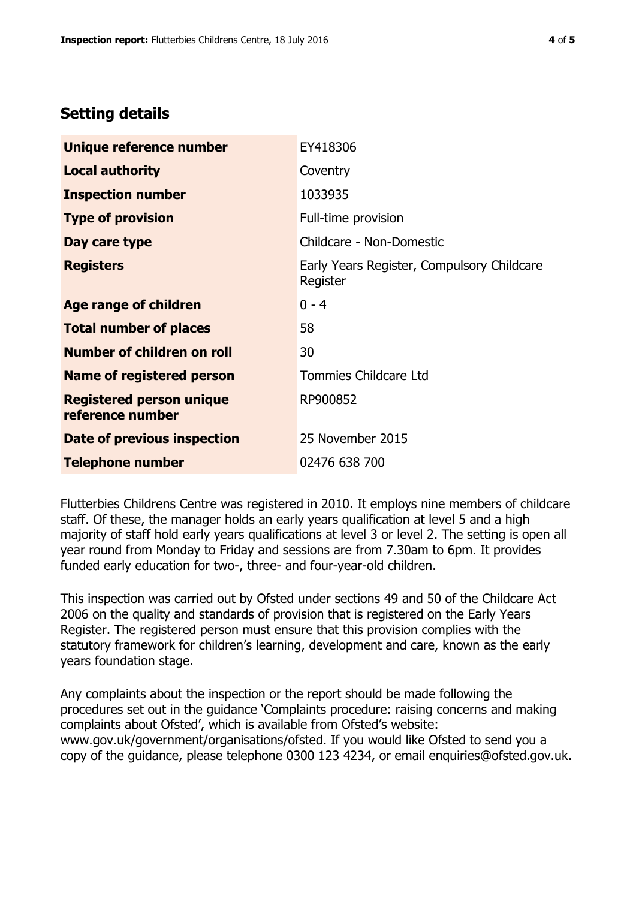## **Setting details**

| Unique reference number                             | EY418306                                               |  |
|-----------------------------------------------------|--------------------------------------------------------|--|
| <b>Local authority</b>                              | Coventry                                               |  |
| <b>Inspection number</b>                            | 1033935                                                |  |
| <b>Type of provision</b>                            | Full-time provision                                    |  |
| Day care type                                       | Childcare - Non-Domestic                               |  |
| <b>Registers</b>                                    | Early Years Register, Compulsory Childcare<br>Register |  |
| Age range of children                               | $0 - 4$                                                |  |
| <b>Total number of places</b>                       | 58                                                     |  |
| Number of children on roll                          | 30                                                     |  |
| Name of registered person                           | Tommies Childcare Ltd                                  |  |
| <b>Registered person unique</b><br>reference number | RP900852                                               |  |
| Date of previous inspection                         | 25 November 2015                                       |  |
| <b>Telephone number</b>                             | 02476 638 700                                          |  |

Flutterbies Childrens Centre was registered in 2010. It employs nine members of childcare staff. Of these, the manager holds an early years qualification at level 5 and a high majority of staff hold early years qualifications at level 3 or level 2. The setting is open all year round from Monday to Friday and sessions are from 7.30am to 6pm. It provides funded early education for two-, three- and four-year-old children.

This inspection was carried out by Ofsted under sections 49 and 50 of the Childcare Act 2006 on the quality and standards of provision that is registered on the Early Years Register. The registered person must ensure that this provision complies with the statutory framework for children's learning, development and care, known as the early years foundation stage.

Any complaints about the inspection or the report should be made following the procedures set out in the guidance 'Complaints procedure: raising concerns and making complaints about Ofsted', which is available from Ofsted's website: www.gov.uk/government/organisations/ofsted. If you would like Ofsted to send you a copy of the guidance, please telephone 0300 123 4234, or email enquiries@ofsted.gov.uk.